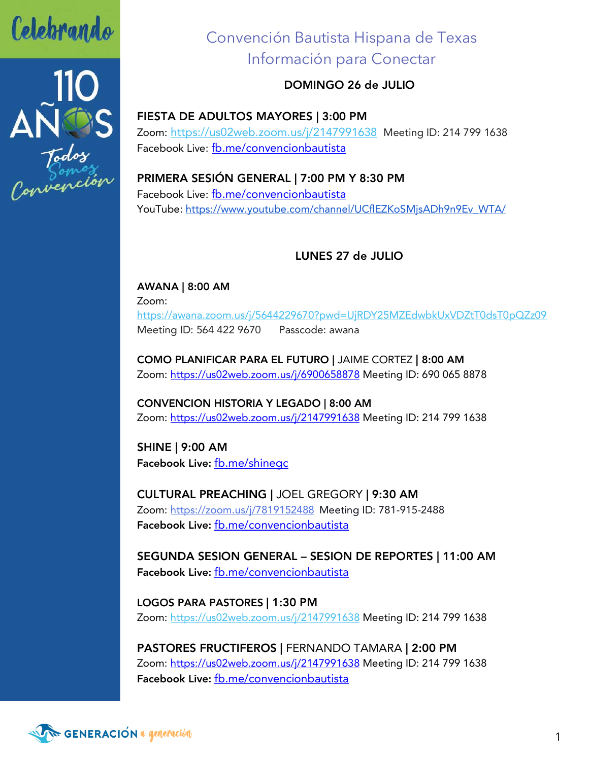

Celebrando<br>110<br>ANDS<br>Convención

# Convención Bautista Hispana de Texas Información para Conectar

### DOMINGO 26 de JULIO

FIESTA DE ADULTOS MAYORES | 3:00 PM Zoom: https://us02web.zoom.us/j/2147991638 Meeting ID: 214 799 1638 Facebook Live: fb.me/convencionbautista

PRIMERA SESIÓN GENERAL | 7:00 PM Y 8:30 PM Facebook Live: fb.me/convencionbautista YouTube: https://www.youtube.com/channel/UCflEZKoSMjsADh9n9Ev\_WTA/

## LUNES 27 de JULIO

AWANA | 8:00 AM Zoom: https://awana.zoom.us/j/5644229670?pwd=UjRDY25MZEdwbkUxVDZtT0dsT0pQZz09 Meeting ID: 564 422 9670 Passcode: awana

COMO PLANIFICAR PARA EL FUTURO | JAIME CORTEZ | 8:00 AM Zoom: https://us02web.zoom.us/j/6900658878 Meeting ID: 690 065 8878

CONVENCION HISTORIA Y LEGADO | 8:00 AM Zoom: https://us02web.zoom.us/j/2147991638 Meeting ID: 214 799 1638

SHINE | 9:00 AM Facebook Live: fb.me/shinegc

CULTURAL PREACHING | JOEL GREGORY | 9:30 AM Zoom: https://zoom.us/j/7819152488 Meeting ID: 781-915-2488 Facebook Live: fb.me/convencionbautista

SEGUNDA SESION GENERAL – SESION DE REPORTES | 11:00 AM Facebook Live: fb.me/convencionbautista

LOGOS PARA PASTORES | 1:30 PM Zoom: https://us02web.zoom.us/j/2147991638 Meeting ID: 214 799 1638

PASTORES FRUCTIFEROS | FERNANDO TAMARA | 2:00 PM Zoom: https://us02web.zoom.us/j/2147991638 Meeting ID: 214 799 1638 Facebook Live: fb.me/convencionbautista

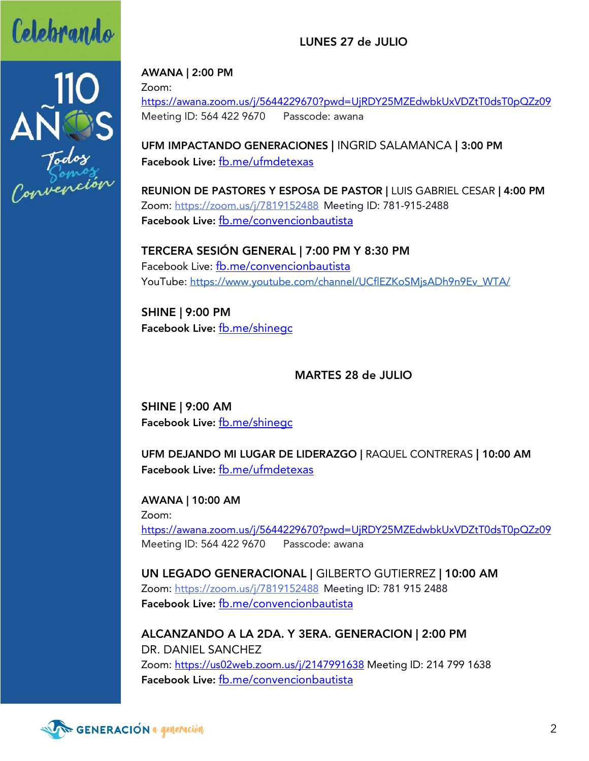



#### AWANA | 2:00 PM

Zoom:

https://awana.zoom.us/j/5644229670?pwd=UjRDY25MZEdwbkUxVDZtT0dsT0pQZz09 Meeting ID: 564 422 9670 Passcode: awana

LUNES 27 de JULIO

UFM IMPACTANDO GENERACIONES | INGRID SALAMANCA | 3:00 PM Facebook Live: fb.me/ufmdetexas

REUNION DE PASTORES Y ESPOSA DE PASTOR | LUIS GABRIEL CESAR | 4:00 PM Zoom: https://zoom.us/j/7819152488 Meeting ID: 781-915-2488 Facebook Live: fb.me/convencionbautista

TERCERA SESIÓN GENERAL | 7:00 PM Y 8:30 PM Facebook Live: fb.me/convencionbautista YouTube: https://www.youtube.com/channel/UCflEZKoSMjsADh9n9Ev\_WTA/

SHINE | 9:00 PM Facebook Live: fb.me/shinegc

MARTES 28 de JULIO

SHINE | 9:00 AM Facebook Live: fb.me/shinegc

UFM DEJANDO MI LUGAR DE LIDERAZGO | RAQUEL CONTRERAS | 10:00 AM Facebook Live: fb.me/ufmdetexas

AWANA | 10:00 AM Zoom: https://awana.zoom.us/j/5644229670?pwd=UjRDY25MZEdwbkUxVDZtT0dsT0pQZz09 Meeting ID: 564 422 9670 Passcode: awana

UN LEGADO GENERACIONAL | GILBERTO GUTIERREZ | 10:00 AM Zoom: https://zoom.us/j/7819152488 Meeting ID: 781 915 2488 Facebook Live: fb.me/convencionbautista

ALCANZANDO A LA 2DA. Y 3ERA. GENERACION | 2:00 PM DR. DANIEL SANCHEZ Zoom: https://us02web.zoom.us/j/2147991638 Meeting ID: 214 799 1638 Facebook Live: fb.me/convencionbautista